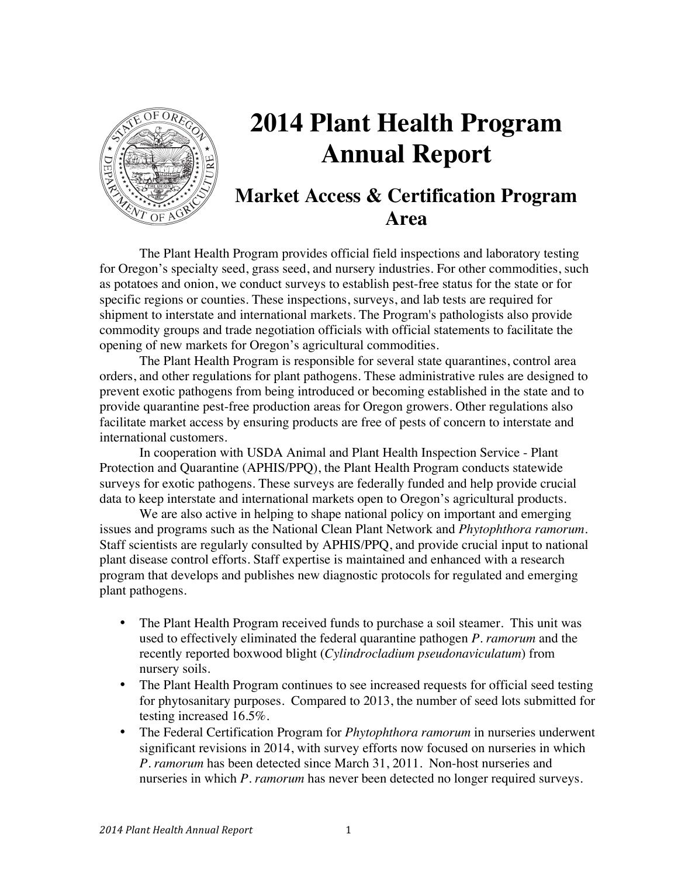

# **2014 Plant Health Program Annual Report**

## **Market Access & Certification Program Area**

The Plant Health Program provides official field inspections and laboratory testing for Oregon's specialty seed, grass seed, and nursery industries. For other commodities, such as potatoes and onion, we conduct surveys to establish pest-free status for the state or for specific regions or counties. These inspections, surveys, and lab tests are required for shipment to interstate and international markets. The Program's pathologists also provide commodity groups and trade negotiation officials with official statements to facilitate the opening of new markets for Oregon's agricultural commodities.

The Plant Health Program is responsible for several state quarantines, control area orders, and other regulations for plant pathogens. These administrative rules are designed to prevent exotic pathogens from being introduced or becoming established in the state and to provide quarantine pest-free production areas for Oregon growers. Other regulations also facilitate market access by ensuring products are free of pests of concern to interstate and international customers.

In cooperation with USDA Animal and Plant Health Inspection Service - Plant Protection and Quarantine (APHIS/PPQ), the Plant Health Program conducts statewide surveys for exotic pathogens. These surveys are federally funded and help provide crucial data to keep interstate and international markets open to Oregon's agricultural products.

We are also active in helping to shape national policy on important and emerging issues and programs such as the National Clean Plant Network and *Phytophthora ramorum*. Staff scientists are regularly consulted by APHIS/PPQ, and provide crucial input to national plant disease control efforts. Staff expertise is maintained and enhanced with a research program that develops and publishes new diagnostic protocols for regulated and emerging plant pathogens.

- The Plant Health Program received funds to purchase a soil steamer. This unit was used to effectively eliminated the federal quarantine pathogen *P. ramorum* and the recently reported boxwood blight (*Cylindrocladium pseudonaviculatum*) from nursery soils.
- The Plant Health Program continues to see increased requests for official seed testing for phytosanitary purposes. Compared to 2013, the number of seed lots submitted for testing increased 16.5%.
- The Federal Certification Program for *Phytophthora ramorum* in nurseries underwent significant revisions in 2014, with survey efforts now focused on nurseries in which *P. ramorum* has been detected since March 31, 2011. Non-host nurseries and nurseries in which *P. ramorum* has never been detected no longer required surveys.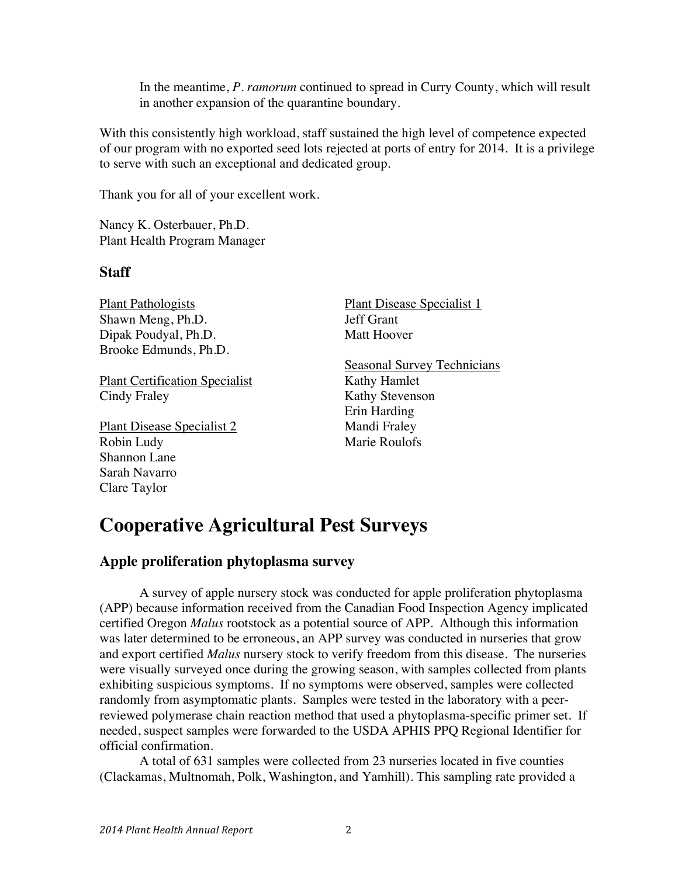In the meantime, *P. ramorum* continued to spread in Curry County, which will result in another expansion of the quarantine boundary.

With this consistently high workload, staff sustained the high level of competence expected of our program with no exported seed lots rejected at ports of entry for 2014. It is a privilege to serve with such an exceptional and dedicated group.

Thank you for all of your excellent work.

Nancy K. Osterbauer, Ph.D. Plant Health Program Manager

### **Staff**

Plant Pathologists Shawn Meng, Ph.D. Dipak Poudyal, Ph.D. Brooke Edmunds, Ph.D.

Plant Certification Specialist Cindy Fraley

Plant Disease Specialist 2 Robin Ludy Shannon Lane Sarah Navarro Clare Taylor

Plant Disease Specialist 1 Jeff Grant Matt Hoover

Seasonal Survey Technicians Kathy Hamlet Kathy Stevenson Erin Harding Mandi Fraley Marie Roulofs

## **Cooperative Agricultural Pest Surveys**

### **Apple proliferation phytoplasma survey**

A survey of apple nursery stock was conducted for apple proliferation phytoplasma (APP) because information received from the Canadian Food Inspection Agency implicated certified Oregon *Malus* rootstock as a potential source of APP. Although this information was later determined to be erroneous, an APP survey was conducted in nurseries that grow and export certified *Malus* nursery stock to verify freedom from this disease. The nurseries were visually surveyed once during the growing season, with samples collected from plants exhibiting suspicious symptoms. If no symptoms were observed, samples were collected randomly from asymptomatic plants. Samples were tested in the laboratory with a peerreviewed polymerase chain reaction method that used a phytoplasma-specific primer set. If needed, suspect samples were forwarded to the USDA APHIS PPQ Regional Identifier for official confirmation.

A total of 631 samples were collected from 23 nurseries located in five counties (Clackamas, Multnomah, Polk, Washington, and Yamhill). This sampling rate provided a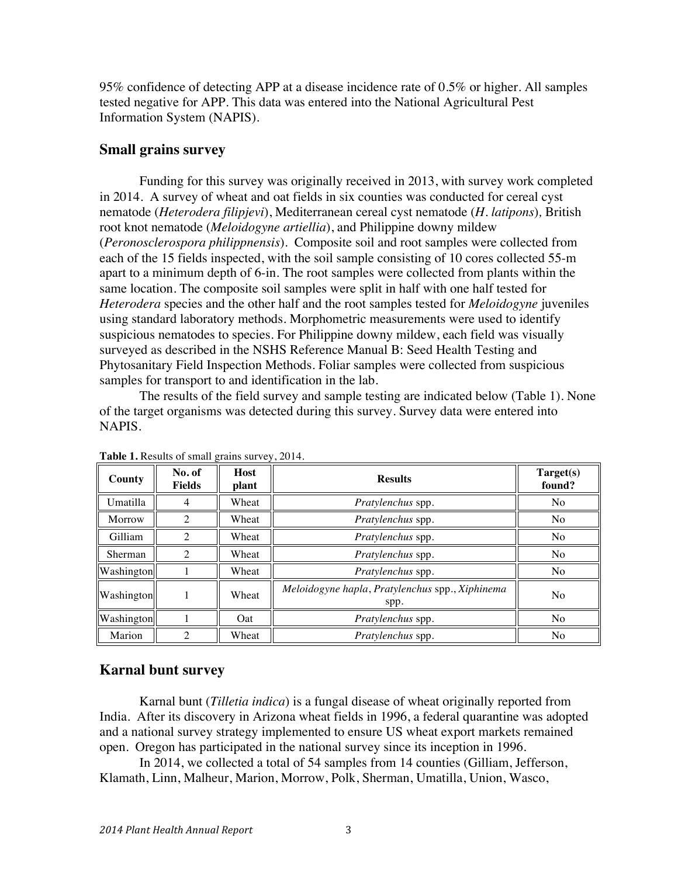95% confidence of detecting APP at a disease incidence rate of 0.5% or higher. All samples tested negative for APP. This data was entered into the National Agricultural Pest Information System (NAPIS).

#### **Small grains survey**

Funding for this survey was originally received in 2013, with survey work completed in 2014. A survey of wheat and oat fields in six counties was conducted for cereal cyst nematode (*Heterodera filipjevi*), Mediterranean cereal cyst nematode (*H. latipons*)*,* British root knot nematode (*Meloidogyne artiellia*), and Philippine downy mildew (*Peronosclerospora philippnensis*). Composite soil and root samples were collected from each of the 15 fields inspected, with the soil sample consisting of 10 cores collected 55-m apart to a minimum depth of 6-in. The root samples were collected from plants within the same location. The composite soil samples were split in half with one half tested for *Heterodera* species and the other half and the root samples tested for *Meloidogyne* juveniles using standard laboratory methods. Morphometric measurements were used to identify suspicious nematodes to species. For Philippine downy mildew, each field was visually surveyed as described in the NSHS Reference Manual B: Seed Health Testing and Phytosanitary Field Inspection Methods. Foliar samples were collected from suspicious samples for transport to and identification in the lab.

The results of the field survey and sample testing are indicated below (Table 1). None of the target organisms was detected during this survey. Survey data were entered into NAPIS.

| County     | No. of<br><b>Fields</b>     | Host<br>plant | <b>Results</b>                                          | Target(s)<br>found? |
|------------|-----------------------------|---------------|---------------------------------------------------------|---------------------|
| Umatilla   | 4                           | Wheat         | Pratylenchus spp.                                       | N <sub>o</sub>      |
| Morrow     | 2                           | Wheat         | Pratylenchus spp.                                       | N <sub>o</sub>      |
| Gilliam    | $\mathfrak{D}$              | Wheat         | Pratylenchus spp.                                       | N <sub>o</sub>      |
| Sherman    | $\mathcal{D}_{\mathcal{A}}$ | Wheat         | Pratylenchus spp.                                       | N <sub>o</sub>      |
| Washington |                             | Wheat         | Pratylenchus spp.                                       | N <sub>o</sub>      |
| Washington |                             | Wheat         | Meloidogyne hapla, Pratylenchus spp., Xiphinema<br>spp. | N <sub>o</sub>      |
| Washington |                             | Oat           | Pratylenchus spp.                                       | N <sub>o</sub>      |
| Marion     | ◠                           | Wheat         | Pratylenchus spp.                                       | N <sub>o</sub>      |

**Table 1.** Results of small grains survey, 2014.

### **Karnal bunt survey**

Karnal bunt (*Tilletia indica*) is a fungal disease of wheat originally reported from India. After its discovery in Arizona wheat fields in 1996, a federal quarantine was adopted and a national survey strategy implemented to ensure US wheat export markets remained open. Oregon has participated in the national survey since its inception in 1996.

In 2014, we collected a total of 54 samples from 14 counties (Gilliam, Jefferson, Klamath, Linn, Malheur, Marion, Morrow, Polk, Sherman, Umatilla, Union, Wasco,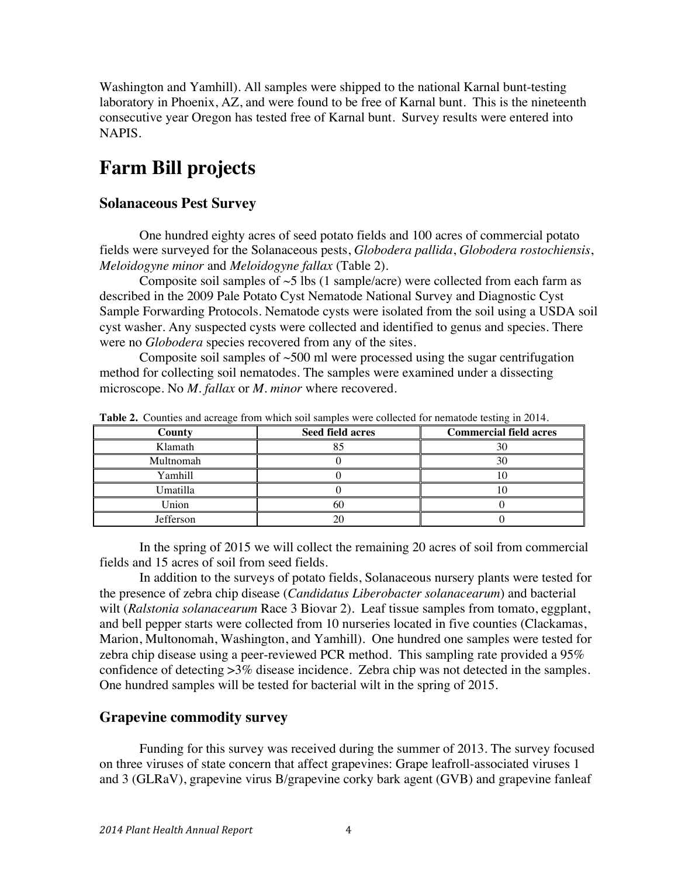Washington and Yamhill). All samples were shipped to the national Karnal bunt-testing laboratory in Phoenix, AZ, and were found to be free of Karnal bunt. This is the nineteenth consecutive year Oregon has tested free of Karnal bunt. Survey results were entered into NAPIS.

## **Farm Bill projects**

### **Solanaceous Pest Survey**

One hundred eighty acres of seed potato fields and 100 acres of commercial potato fields were surveyed for the Solanaceous pests, *Globodera pallida*, *Globodera rostochiensis*, *Meloidogyne minor* and *Meloidogyne fallax* (Table 2).

Composite soil samples of  $\sim$ 5 lbs (1 sample/acre) were collected from each farm as described in the 2009 Pale Potato Cyst Nematode National Survey and Diagnostic Cyst Sample Forwarding Protocols. Nematode cysts were isolated from the soil using a USDA soil cyst washer. Any suspected cysts were collected and identified to genus and species. There were no *Globodera* species recovered from any of the sites.

Composite soil samples of  $\sim$ 500 ml were processed using the sugar centrifugation method for collecting soil nematodes. The samples were examined under a dissecting microscope. No *M. fallax* or *M. minor* where recovered.

| County    | <b>Seed field acres</b> | <b>Commercial field acres</b> |
|-----------|-------------------------|-------------------------------|
| Klamath   |                         |                               |
| Multnomah |                         |                               |
| Yamhill   |                         |                               |
| Umatilla  |                         |                               |
| Union     | 60                      |                               |
| Jefferson |                         |                               |

**Table 2.** Counties and acreage from which soil samples were collected for nematode testing in 2014.

In the spring of 2015 we will collect the remaining 20 acres of soil from commercial fields and 15 acres of soil from seed fields.

In addition to the surveys of potato fields, Solanaceous nursery plants were tested for the presence of zebra chip disease (*Candidatus Liberobacter solanacearum*) and bacterial wilt (*Ralstonia solanacearum* Race 3 Biovar 2). Leaf tissue samples from tomato, eggplant, and bell pepper starts were collected from 10 nurseries located in five counties (Clackamas, Marion, Multonomah, Washington, and Yamhill). One hundred one samples were tested for zebra chip disease using a peer-reviewed PCR method. This sampling rate provided a 95% confidence of detecting >3% disease incidence. Zebra chip was not detected in the samples. One hundred samples will be tested for bacterial wilt in the spring of 2015.

### **Grapevine commodity survey**

Funding for this survey was received during the summer of 2013. The survey focused on three viruses of state concern that affect grapevines: Grape leafroll-associated viruses 1 and 3 (GLRaV), grapevine virus B/grapevine corky bark agent (GVB) and grapevine fanleaf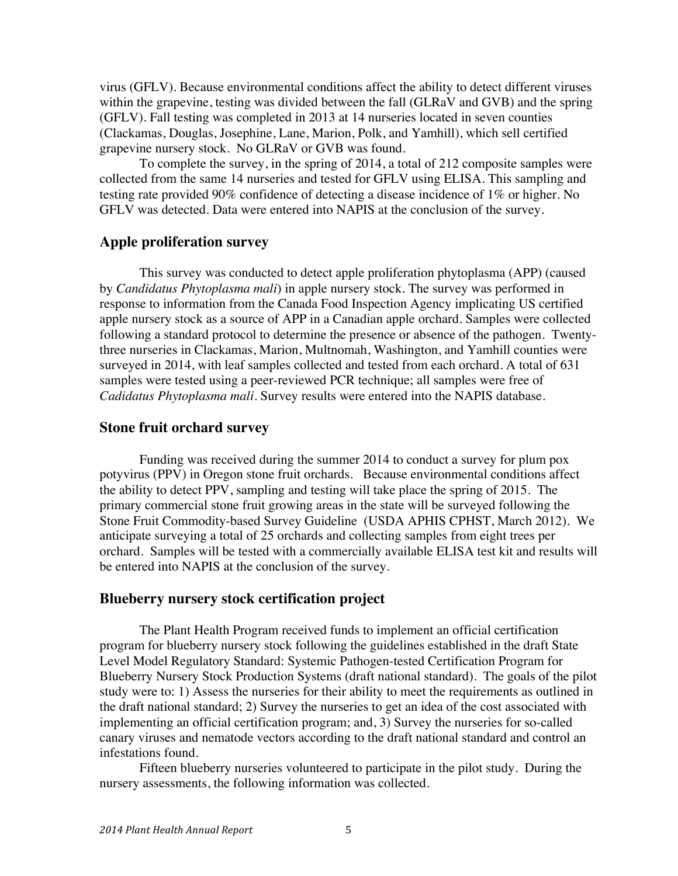virus (GFLV). Because environmental conditions affect the ability to detect different viruses within the grapevine, testing was divided between the fall (GLRaV and GVB) and the spring (GFLV). Fall testing was completed in 2013 at 14 nurseries located in seven counties (Clackamas, Douglas, Josephine, Lane, Marion, Polk, and Yamhill), which sell certified grapevine nursery stock. No GLRaV or GVB was found.

To complete the survey, in the spring of 2014, a total of 212 composite samples were collected from the same 14 nurseries and tested for GFLV using ELISA. This sampling and testing rate provided 90% confidence of detecting a disease incidence of 1% or higher. No GFLV was detected. Data were entered into NAPIS at the conclusion of the survey.

### **Apple proliferation survey**

This survey was conducted to detect apple proliferation phytoplasma (APP) (caused by *Candidatus Phytoplasma mali*) in apple nursery stock. The survey was performed in response to information from the Canada Food Inspection Agency implicating US certified apple nursery stock as a source of APP in a Canadian apple orchard. Samples were collected following a standard protocol to determine the presence or absence of the pathogen. Twentythree nurseries in Clackamas, Marion, Multnomah, Washington, and Yamhill counties were surveyed in 2014, with leaf samples collected and tested from each orchard. A total of 631 samples were tested using a peer-reviewed PCR technique; all samples were free of *Cadidatus Phytoplasma mali*. Survey results were entered into the NAPIS database.

#### **Stone fruit orchard survey**

Funding was received during the summer 2014 to conduct a survey for plum pox potyvirus (PPV) in Oregon stone fruit orchards. Because environmental conditions affect the ability to detect PPV, sampling and testing will take place the spring of 2015. The primary commercial stone fruit growing areas in the state will be surveyed following the Stone Fruit Commodity-based Survey Guideline (USDA APHIS CPHST, March 2012). We anticipate surveying a total of 25 orchards and collecting samples from eight trees per orchard. Samples will be tested with a commercially available ELISA test kit and results will be entered into NAPIS at the conclusion of the survey.

#### **Blueberry nursery stock certification project**

The Plant Health Program received funds to implement an official certification program for blueberry nursery stock following the guidelines established in the draft State Level Model Regulatory Standard: Systemic Pathogen-tested Certification Program for Blueberry Nursery Stock Production Systems (draft national standard). The goals of the pilot study were to: 1) Assess the nurseries for their ability to meet the requirements as outlined in the draft national standard; 2) Survey the nurseries to get an idea of the cost associated with implementing an official certification program; and, 3) Survey the nurseries for so-called canary viruses and nematode vectors according to the draft national standard and control an infestations found.

Fifteen blueberry nurseries volunteered to participate in the pilot study. During the nursery assessments, the following information was collected.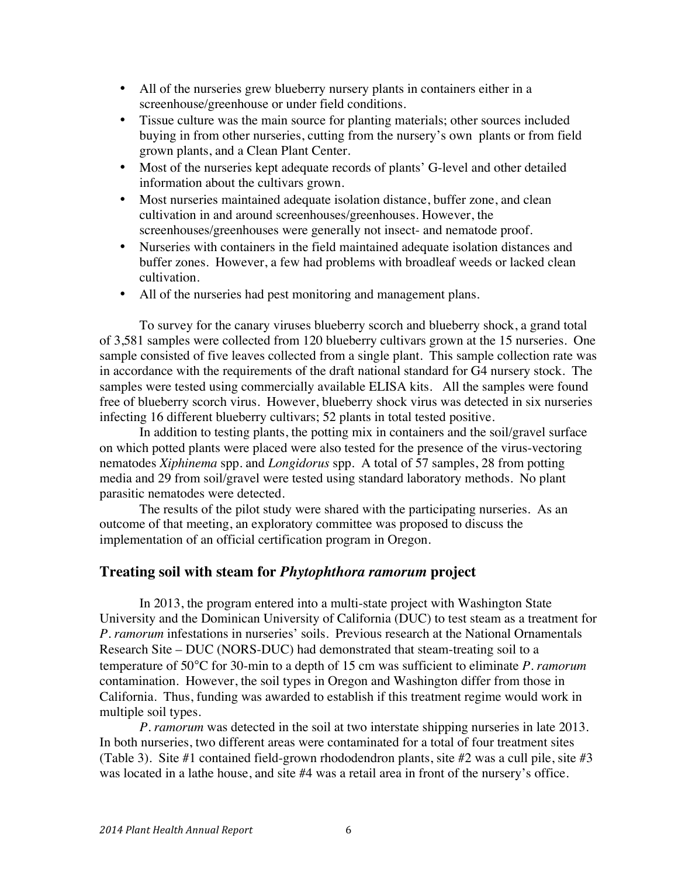- All of the nurseries grew blueberry nursery plants in containers either in a screenhouse/greenhouse or under field conditions.
- Tissue culture was the main source for planting materials; other sources included buying in from other nurseries, cutting from the nursery's own plants or from field grown plants, and a Clean Plant Center.
- Most of the nurseries kept adequate records of plants' G-level and other detailed information about the cultivars grown.
- Most nurseries maintained adequate isolation distance, buffer zone, and clean cultivation in and around screenhouses/greenhouses. However, the screenhouses/greenhouses were generally not insect- and nematode proof.
- Nurseries with containers in the field maintained adequate isolation distances and buffer zones. However, a few had problems with broadleaf weeds or lacked clean cultivation.
- All of the nurseries had pest monitoring and management plans.

To survey for the canary viruses blueberry scorch and blueberry shock, a grand total of 3,581 samples were collected from 120 blueberry cultivars grown at the 15 nurseries. One sample consisted of five leaves collected from a single plant. This sample collection rate was in accordance with the requirements of the draft national standard for G4 nursery stock. The samples were tested using commercially available ELISA kits. All the samples were found free of blueberry scorch virus. However, blueberry shock virus was detected in six nurseries infecting 16 different blueberry cultivars; 52 plants in total tested positive.

In addition to testing plants, the potting mix in containers and the soil/gravel surface on which potted plants were placed were also tested for the presence of the virus-vectoring nematodes *Xiphinema* spp. and *Longidorus* spp. A total of 57 samples, 28 from potting media and 29 from soil/gravel were tested using standard laboratory methods. No plant parasitic nematodes were detected.

The results of the pilot study were shared with the participating nurseries. As an outcome of that meeting, an exploratory committee was proposed to discuss the implementation of an official certification program in Oregon.

### **Treating soil with steam for** *Phytophthora ramorum* **project**

In 2013, the program entered into a multi-state project with Washington State University and the Dominican University of California (DUC) to test steam as a treatment for *P. ramorum* infestations in nurseries' soils. Previous research at the National Ornamentals Research Site – DUC (NORS-DUC) had demonstrated that steam-treating soil to a temperature of 50°C for 30-min to a depth of 15 cm was sufficient to eliminate *P. ramorum* contamination. However, the soil types in Oregon and Washington differ from those in California. Thus, funding was awarded to establish if this treatment regime would work in multiple soil types.

*P. ramorum* was detected in the soil at two interstate shipping nurseries in late 2013. In both nurseries, two different areas were contaminated for a total of four treatment sites (Table 3). Site #1 contained field-grown rhododendron plants, site #2 was a cull pile, site #3 was located in a lathe house, and site #4 was a retail area in front of the nursery's office.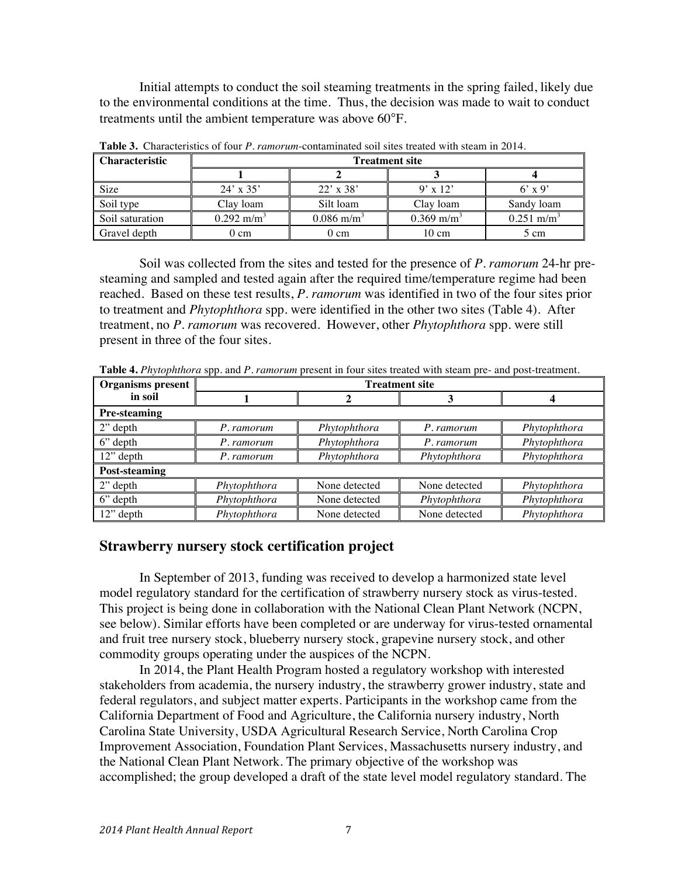Initial attempts to conduct the soil steaming treatments in the spring failed, likely due to the environmental conditions at the time. Thus, the decision was made to wait to conduct treatments until the ambient temperature was above 60°F.

| ∥ Characteristic    | <b>Treatment site</b> |                          |                          |                          |  |  |  |
|---------------------|-----------------------|--------------------------|--------------------------|--------------------------|--|--|--|
|                     |                       |                          |                          |                          |  |  |  |
| Size                | $24' \times 35'$      | $22' \times 38'$         | $9' \times 12'$          | $6'$ x 9'                |  |  |  |
| Soil type           | Clay loam             | Silt loam                | Clay loam                | Sandy loam               |  |  |  |
| Soil saturation     | $0.292 \text{ m/m}^3$ | $0.086$ m/m <sup>3</sup> | $0.369$ m/m <sup>3</sup> | $0.251$ m/m <sup>3</sup> |  |  |  |
| <b>Gravel depth</b> | $0 \text{ cm}$        | 0 cm                     | $10 \text{ cm}$          | 5 cm                     |  |  |  |

**Table 3.** Characteristics of four *P. ramorum*-contaminated soil sites treated with steam in 2014.

Soil was collected from the sites and tested for the presence of *P. ramorum* 24-hr presteaming and sampled and tested again after the required time/temperature regime had been reached. Based on these test results, *P. ramorum* was identified in two of the four sites prior to treatment and *Phytophthora* spp. were identified in the other two sites (Table 4). After treatment, no *P. ramorum* was recovered. However, other *Phytophthora* spp. were still present in three of the four sites.

**Table 4.** *Phytophthora* spp. and *P. ramorum* present in four sites treated with steam pre- and post-treatment.

| <b>Organisms</b> present | <b>Treatment site</b> |               |               |              |  |  |  |
|--------------------------|-----------------------|---------------|---------------|--------------|--|--|--|
| in soil                  |                       |               | 3             |              |  |  |  |
| <b>Pre-steaming</b>      |                       |               |               |              |  |  |  |
| $2$ " depth              | P. ramorum            | Phytophthora  | P. ramorum    | Phytophthora |  |  |  |
| $6$ " depth              | P. ramorum            | Phytophthora  | P. ramorum    | Phytophthora |  |  |  |
| $12$ " depth             | P. ramorum            | Phytophthora  | Phytophthora  | Phytophthora |  |  |  |
| Post-steaming            |                       |               |               |              |  |  |  |
| $2$ " depth              | Phytophthora          | None detected | None detected | Phytophthora |  |  |  |
| $6$ " depth              | Phytophthora          | None detected | Phytophthora  | Phytophthora |  |  |  |
| 12" depth                | Phytophthora          | None detected | None detected | Phytophthora |  |  |  |

### **Strawberry nursery stock certification project**

In September of 2013, funding was received to develop a harmonized state level model regulatory standard for the certification of strawberry nursery stock as virus-tested. This project is being done in collaboration with the National Clean Plant Network (NCPN, see below). Similar efforts have been completed or are underway for virus-tested ornamental and fruit tree nursery stock, blueberry nursery stock, grapevine nursery stock, and other commodity groups operating under the auspices of the NCPN.

In 2014, the Plant Health Program hosted a regulatory workshop with interested stakeholders from academia, the nursery industry, the strawberry grower industry, state and federal regulators, and subject matter experts. Participants in the workshop came from the California Department of Food and Agriculture, the California nursery industry, North Carolina State University, USDA Agricultural Research Service, North Carolina Crop Improvement Association, Foundation Plant Services, Massachusetts nursery industry, and the National Clean Plant Network. The primary objective of the workshop was accomplished; the group developed a draft of the state level model regulatory standard. The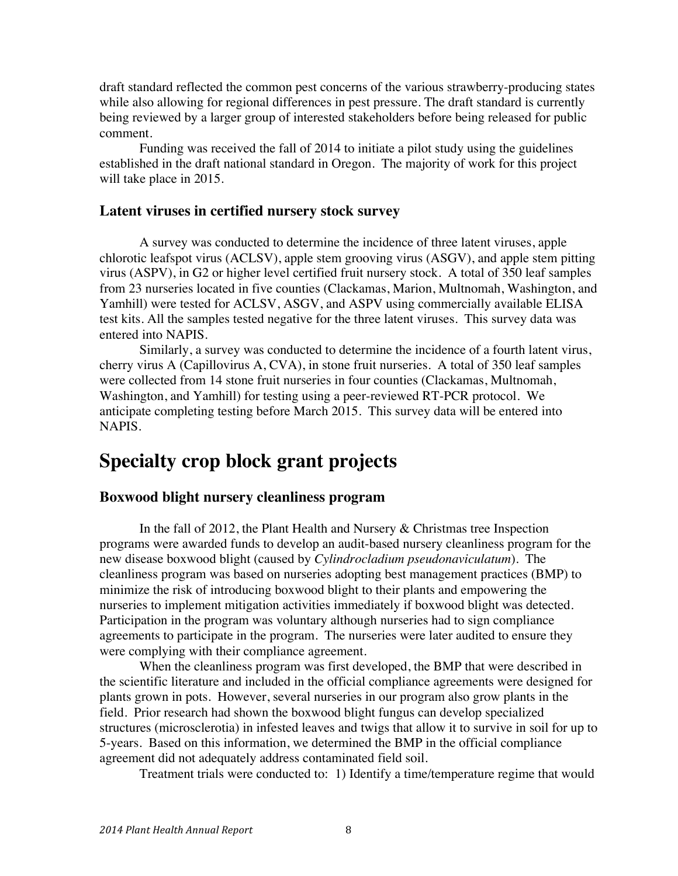draft standard reflected the common pest concerns of the various strawberry-producing states while also allowing for regional differences in pest pressure. The draft standard is currently being reviewed by a larger group of interested stakeholders before being released for public comment.

Funding was received the fall of 2014 to initiate a pilot study using the guidelines established in the draft national standard in Oregon. The majority of work for this project will take place in 2015.

#### **Latent viruses in certified nursery stock survey**

A survey was conducted to determine the incidence of three latent viruses, apple chlorotic leafspot virus (ACLSV), apple stem grooving virus (ASGV), and apple stem pitting virus (ASPV), in G2 or higher level certified fruit nursery stock. A total of 350 leaf samples from 23 nurseries located in five counties (Clackamas, Marion, Multnomah, Washington, and Yamhill) were tested for ACLSV, ASGV, and ASPV using commercially available ELISA test kits. All the samples tested negative for the three latent viruses. This survey data was entered into NAPIS.

Similarly, a survey was conducted to determine the incidence of a fourth latent virus, cherry virus A (Capillovirus A, CVA), in stone fruit nurseries. A total of 350 leaf samples were collected from 14 stone fruit nurseries in four counties (Clackamas, Multnomah, Washington, and Yamhill) for testing using a peer-reviewed RT-PCR protocol. We anticipate completing testing before March 2015. This survey data will be entered into NAPIS.

## **Specialty crop block grant projects**

### **Boxwood blight nursery cleanliness program**

In the fall of 2012, the Plant Health and Nursery & Christmas tree Inspection programs were awarded funds to develop an audit-based nursery cleanliness program for the new disease boxwood blight (caused by *Cylindrocladium pseudonaviculatum*). The cleanliness program was based on nurseries adopting best management practices (BMP) to minimize the risk of introducing boxwood blight to their plants and empowering the nurseries to implement mitigation activities immediately if boxwood blight was detected. Participation in the program was voluntary although nurseries had to sign compliance agreements to participate in the program. The nurseries were later audited to ensure they were complying with their compliance agreement.

When the cleanliness program was first developed, the BMP that were described in the scientific literature and included in the official compliance agreements were designed for plants grown in pots. However, several nurseries in our program also grow plants in the field. Prior research had shown the boxwood blight fungus can develop specialized structures (microsclerotia) in infested leaves and twigs that allow it to survive in soil for up to 5-years. Based on this information, we determined the BMP in the official compliance agreement did not adequately address contaminated field soil.

Treatment trials were conducted to: 1) Identify a time/temperature regime that would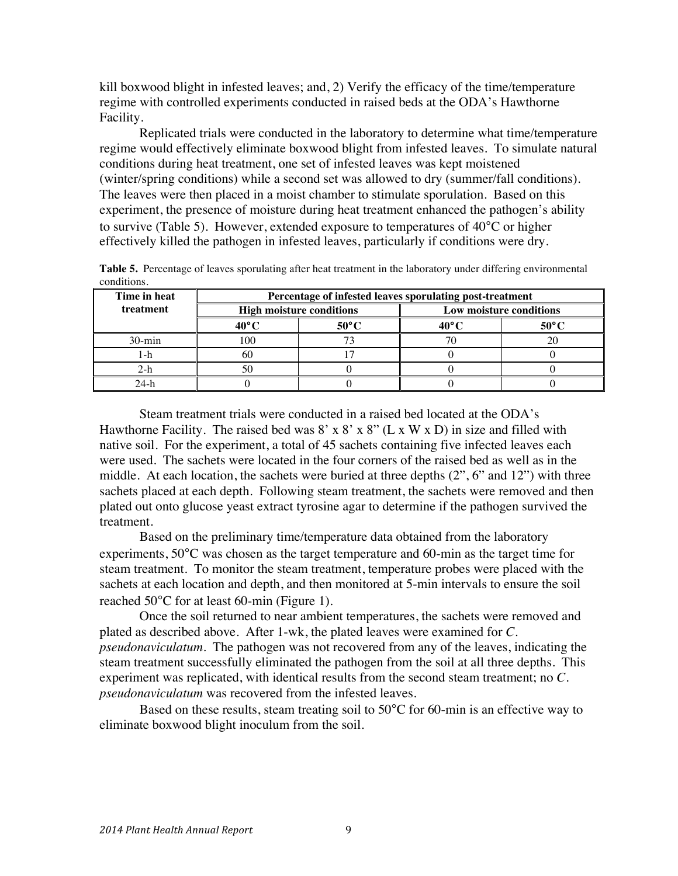kill boxwood blight in infested leaves; and, 2) Verify the efficacy of the time/temperature regime with controlled experiments conducted in raised beds at the ODA's Hawthorne Facility.

Replicated trials were conducted in the laboratory to determine what time/temperature regime would effectively eliminate boxwood blight from infested leaves. To simulate natural conditions during heat treatment, one set of infested leaves was kept moistened (winter/spring conditions) while a second set was allowed to dry (summer/fall conditions). The leaves were then placed in a moist chamber to stimulate sporulation. Based on this experiment, the presence of moisture during heat treatment enhanced the pathogen's ability to survive (Table 5). However, extended exposure to temperatures of 40°C or higher effectively killed the pathogen in infested leaves, particularly if conditions were dry.

| Time in heat | Percentage of infested leaves sporulating post-treatment |                                 |  |                         |  |  |  |
|--------------|----------------------------------------------------------|---------------------------------|--|-------------------------|--|--|--|
| treatment    |                                                          | <b>High moisture conditions</b> |  | Low moisture conditions |  |  |  |
|              | $40^{\circ}$ C                                           | $50^{\circ}$ C                  |  | $50^{\circ}$ C          |  |  |  |
| $30$ -min    | ۱00                                                      |                                 |  |                         |  |  |  |
| -n           |                                                          |                                 |  |                         |  |  |  |
| z-n          | -91.                                                     |                                 |  |                         |  |  |  |
|              |                                                          |                                 |  |                         |  |  |  |

**Table 5.** Percentage of leaves sporulating after heat treatment in the laboratory under differing environmental conditions.

Steam treatment trials were conducted in a raised bed located at the ODA's Hawthorne Facility. The raised bed was  $8' \times 8' \times 8''$  (L x W x D) in size and filled with native soil. For the experiment, a total of 45 sachets containing five infected leaves each were used. The sachets were located in the four corners of the raised bed as well as in the middle. At each location, the sachets were buried at three depths (2", 6" and 12") with three sachets placed at each depth. Following steam treatment, the sachets were removed and then plated out onto glucose yeast extract tyrosine agar to determine if the pathogen survived the treatment.

Based on the preliminary time/temperature data obtained from the laboratory experiments, 50°C was chosen as the target temperature and 60-min as the target time for steam treatment. To monitor the steam treatment, temperature probes were placed with the sachets at each location and depth, and then monitored at 5-min intervals to ensure the soil reached 50°C for at least 60-min (Figure 1).

Once the soil returned to near ambient temperatures, the sachets were removed and plated as described above. After 1-wk, the plated leaves were examined for *C. pseudonaviculatum*. The pathogen was not recovered from any of the leaves, indicating the steam treatment successfully eliminated the pathogen from the soil at all three depths. This experiment was replicated, with identical results from the second steam treatment; no *C. pseudonaviculatum* was recovered from the infested leaves.

Based on these results, steam treating soil to 50°C for 60-min is an effective way to eliminate boxwood blight inoculum from the soil.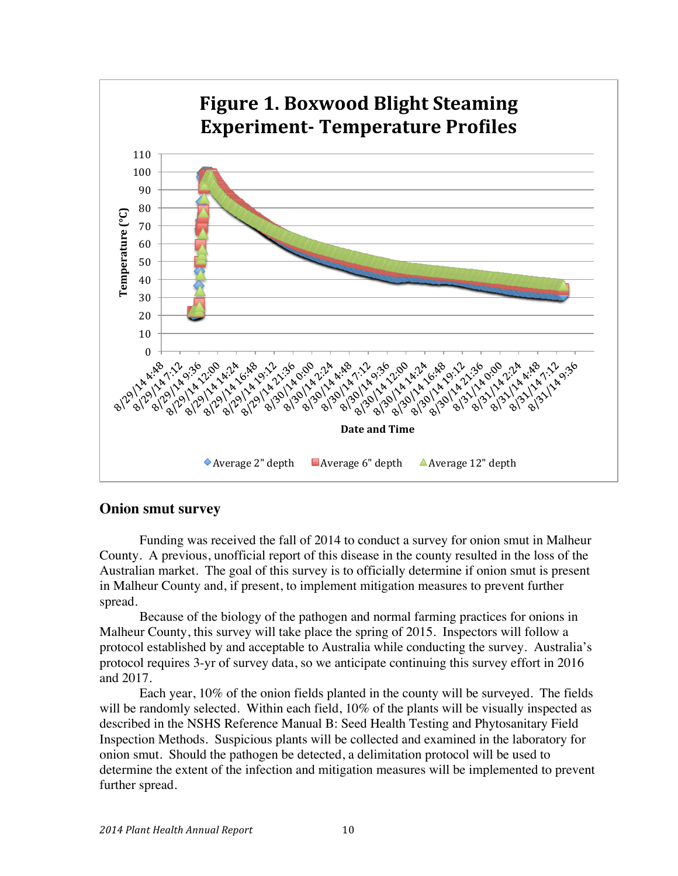

### **Onion smut survey**

Funding was received the fall of 2014 to conduct a survey for onion smut in Malheur County. A previous, unofficial report of this disease in the county resulted in the loss of the Australian market. The goal of this survey is to officially determine if onion smut is present in Malheur County and, if present, to implement mitigation measures to prevent further spread.

Because of the biology of the pathogen and normal farming practices for onions in Malheur County, this survey will take place the spring of 2015. Inspectors will follow a protocol established by and acceptable to Australia while conducting the survey. Australia's protocol requires 3-yr of survey data, so we anticipate continuing this survey effort in 2016 and 2017.

Each year, 10% of the onion fields planted in the county will be surveyed. The fields will be randomly selected. Within each field,  $10\%$  of the plants will be visually inspected as described in the NSHS Reference Manual B: Seed Health Testing and Phytosanitary Field Inspection Methods. Suspicious plants will be collected and examined in the laboratory for onion smut. Should the pathogen be detected, a delimitation protocol will be used to determine the extent of the infection and mitigation measures will be implemented to prevent further spread.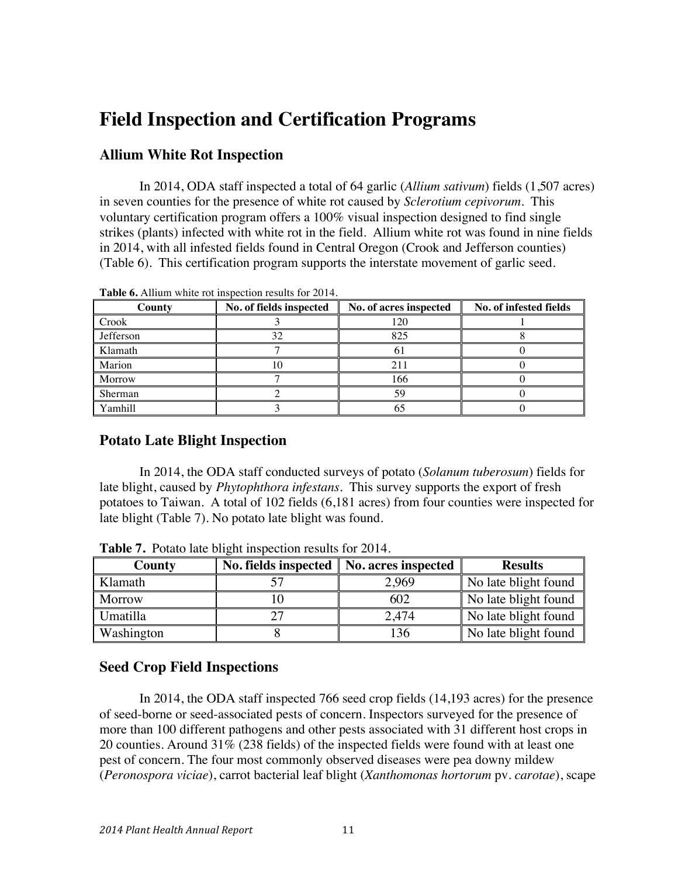## **Field Inspection and Certification Programs**

### **Allium White Rot Inspection**

In 2014, ODA staff inspected a total of 64 garlic (*Allium sativum*) fields (1,507 acres) in seven counties for the presence of white rot caused by *Sclerotium cepivorum*. This voluntary certification program offers a 100% visual inspection designed to find single strikes (plants) infected with white rot in the field. Allium white rot was found in nine fields in 2014, with all infested fields found in Central Oregon (Crook and Jefferson counties) (Table 6). This certification program supports the interstate movement of garlic seed.

| County       | No. of fields inspected | No. of acres inspected | No. of infested fields |
|--------------|-------------------------|------------------------|------------------------|
| <b>Crook</b> |                         | 120                    |                        |
| Jefferson    | 32                      | 825                    |                        |
| Klamath      |                         |                        |                        |
| Marion       |                         | 211                    |                        |
| Morrow       |                         | 166                    |                        |
| Sherman      |                         | 59                     |                        |
| Yamhill      |                         |                        |                        |

**Table 6.** Allium white rot inspection results for 2014.

## **Potato Late Blight Inspection**

In 2014, the ODA staff conducted surveys of potato (*Solanum tuberosum*) fields for late blight, caused by *Phytophthora infestans*. This survey supports the export of fresh potatoes to Taiwan. A total of 102 fields (6,181 acres) from four counties were inspected for late blight (Table 7). No potato late blight was found.

| County        | No. fields inspected   No. acres inspected |       | <b>Results</b>       |
|---------------|--------------------------------------------|-------|----------------------|
| Klamath       |                                            | 2,969 | No late blight found |
| <b>Morrow</b> |                                            | 602   | No late blight found |
| Umatilla      |                                            | 2,474 | No late blight found |
| Washington    |                                            | 136   | No late blight found |

**Table 7.** Potato late blight inspection results for 2014.

### **Seed Crop Field Inspections**

In 2014, the ODA staff inspected 766 seed crop fields (14,193 acres) for the presence of seed-borne or seed-associated pests of concern. Inspectors surveyed for the presence of more than 100 different pathogens and other pests associated with 31 different host crops in 20 counties. Around 31% (238 fields) of the inspected fields were found with at least one pest of concern. The four most commonly observed diseases were pea downy mildew (*Peronospora viciae*), carrot bacterial leaf blight (*Xanthomonas hortorum* pv. *carotae*), scape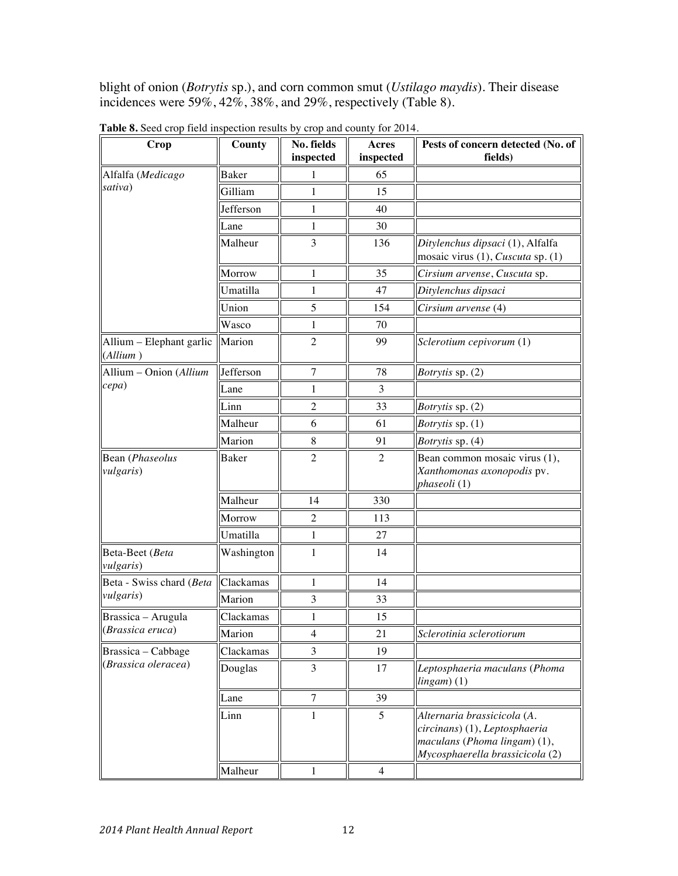blight of onion (*Botrytis* sp.), and corn common smut (*Ustilago maydis*). Their disease incidences were 59%, 42%, 38%, and 29%, respectively (Table 8).

| Crop                                    | County     | No. fields<br>inspected | Acres<br>inspected | Pests of concern detected (No. of<br>fields)                                                                                    |
|-----------------------------------------|------------|-------------------------|--------------------|---------------------------------------------------------------------------------------------------------------------------------|
| Alfalfa (Medicago                       | Baker      | 1                       | 65                 |                                                                                                                                 |
| sativa)                                 | Gilliam    | 1                       | 15                 |                                                                                                                                 |
|                                         | Jefferson  | 1                       | 40                 |                                                                                                                                 |
|                                         | Lane       | 1                       | 30                 |                                                                                                                                 |
|                                         | Malheur    | 3                       | 136                | Ditylenchus dipsaci (1), Alfalfa<br>mosaic virus (1), Cuscuta sp. (1)                                                           |
|                                         | Morrow     | 1                       | 35                 | Cirsium arvense, Cuscuta sp.                                                                                                    |
|                                         | Umatilla   | 1                       | 47                 | Ditylenchus dipsaci                                                                                                             |
|                                         | Union      | 5                       | 154                | Cirsium arvense (4)                                                                                                             |
|                                         | Wasco      | 1                       | 70                 |                                                                                                                                 |
| Allium - Elephant garlic<br>(Allium)    | Marion     | $\overline{2}$          | 99                 | Sclerotium cepivorum (1)                                                                                                        |
| $\text{Allium} - \text{Union} (Allium)$ | Jefferson  | 7                       | 78                 | Botrytis sp. (2)                                                                                                                |
| cepa)                                   | Lane       | 1                       | 3                  |                                                                                                                                 |
|                                         | Linn       | $\overline{2}$          | 33                 | <i>Botrytis</i> sp. (2)                                                                                                         |
|                                         | Malheur    | 6                       | 61                 | <i>Botrytis</i> sp. (1)                                                                                                         |
|                                         | Marion     | 8                       | 91                 | Botrytis sp. (4)                                                                                                                |
| Bean (Phaseolus<br><i>vulgaris</i> )    | Baker      | $\overline{2}$          | 2                  | Bean common mosaic virus (1),<br>Xanthomonas axonopodis pv.<br>phaseoli (1)                                                     |
|                                         | Malheur    | 14                      | 330                |                                                                                                                                 |
|                                         | Morrow     | 2                       | 113                |                                                                                                                                 |
|                                         | Umatilla   | $\mathbf{1}$            | 27                 |                                                                                                                                 |
| Beta-Beet (Beta<br><i>vulgaris</i> )    | Washington | 1                       | 14                 |                                                                                                                                 |
| Beta - Swiss chard (Beta                | Clackamas  | 1                       | 14                 |                                                                                                                                 |
| <i>vulgaris</i> )                       | Marion     | 3                       | 33                 |                                                                                                                                 |
| Brassica – Arugula                      | Clackamas  | 1                       | 15                 |                                                                                                                                 |
| (Brassica eruca)                        | Marion     | $\overline{4}$          | 21                 | Sclerotinia sclerotiorum                                                                                                        |
| Brassica - Cabbage                      | Clackamas  | 3                       | 19                 |                                                                                                                                 |
| (Brassica oleracea)                     | Douglas    | 3                       | 17                 | Leptosphaeria maculans (Phoma<br>lingam(1)                                                                                      |
|                                         | Lane       | 7                       | 39                 |                                                                                                                                 |
|                                         | Linn       | 1                       | 5                  | Alternaria brassicicola (A.<br>circinans) (1), Leptosphaeria<br>maculans (Phoma lingam) (1),<br>Mycosphaerella brassicicola (2) |
|                                         | Malheur    | 1                       | $\overline{4}$     |                                                                                                                                 |

**Table 8.** Seed crop field inspection results by crop and county for 2014.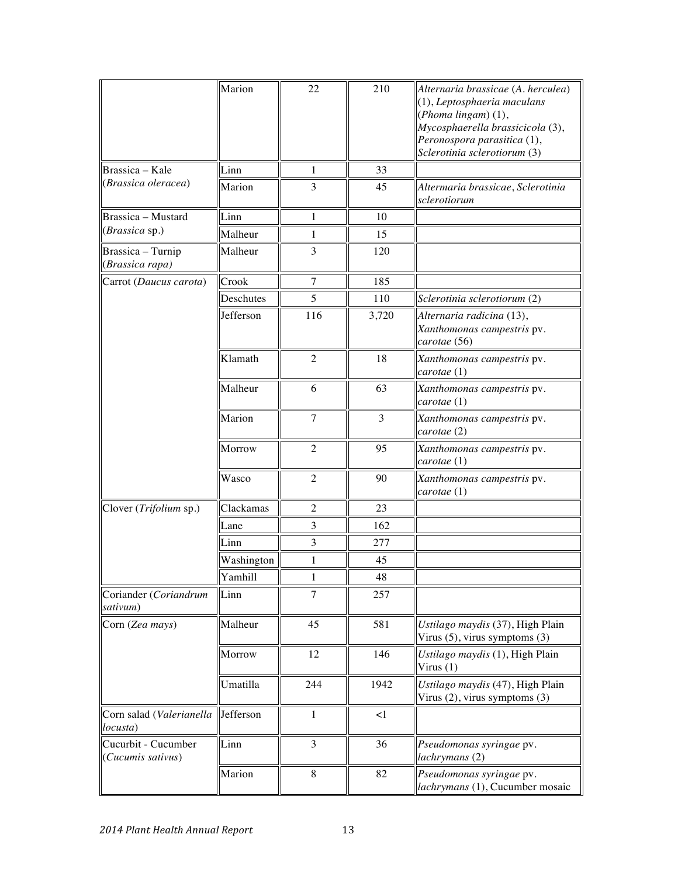|                                          | Marion     | 22             | 210         | Alternaria brassicae (A. herculea)<br>(1), Leptosphaeria maculans<br>(Phoma lingam) (1),<br>Mycosphaerella brassicicola (3),<br>Peronospora parasitica (1),<br>Sclerotinia sclerotiorum (3) |
|------------------------------------------|------------|----------------|-------------|---------------------------------------------------------------------------------------------------------------------------------------------------------------------------------------------|
| Brassica - Kale                          | Linn       | 1              | 33          |                                                                                                                                                                                             |
| (Brassica oleracea)                      | Marion     | 3              | 45          | Altermaria brassicae, Sclerotinia<br>sclerotiorum                                                                                                                                           |
| Brassica - Mustard                       | Linn       | $\mathbf{1}$   | 10          |                                                                                                                                                                                             |
| (Brassica sp.)                           | Malheur    | 1              | 15          |                                                                                                                                                                                             |
| Brassica - Turnip<br>(Brassica rapa)     | Malheur    | 3              | 120         |                                                                                                                                                                                             |
| Carrot (Daucus carota)                   | Crook      | 7              | 185         |                                                                                                                                                                                             |
|                                          | Deschutes  | 5              | 110         | Sclerotinia sclerotiorum (2)                                                                                                                                                                |
|                                          | Jefferson  | 116            | 3,720       | Alternaria radicina (13),<br>Xanthomonas campestris pv.<br>carotae (56)                                                                                                                     |
|                                          | Klamath    | $\overline{2}$ | 18          | Xanthomonas campestris pv.<br>carotae (1)                                                                                                                                                   |
|                                          | Malheur    | 6              | 63          | Xanthomonas campestris pv.<br>carotae (1)                                                                                                                                                   |
|                                          | Marion     | $\overline{7}$ | 3           | Xanthomonas campestris pv.<br>carotae (2)                                                                                                                                                   |
|                                          | Morrow     | $\overline{2}$ | 95          | Xanthomonas campestris pv.<br>carotae (1)                                                                                                                                                   |
|                                          | Wasco      | 2              | 90          | Xanthomonas campestris pv.<br>carotae (1)                                                                                                                                                   |
| Clover (Trifolium sp.)                   | Clackamas  | $\overline{2}$ | 23          |                                                                                                                                                                                             |
|                                          | Lane       | 3              | 162         |                                                                                                                                                                                             |
|                                          | Linn       | 3              | 277         |                                                                                                                                                                                             |
|                                          | Washington | 1              | 45          |                                                                                                                                                                                             |
|                                          | Yamhill    | $\mathbf{1}$   | $\sqrt{48}$ |                                                                                                                                                                                             |
| Coriander (Coriandrum<br>sativum)        | Linn       | $\overline{7}$ | 257         |                                                                                                                                                                                             |
| Corn (Zea mays)                          | Malheur    | 45             | 581         | Ustilago maydis (37), High Plain<br>Virus $(5)$ , virus symptoms $(3)$                                                                                                                      |
|                                          | Morrow     | 12             | 146         | Ustilago maydis (1), High Plain<br>Virus $(1)$                                                                                                                                              |
|                                          | Umatilla   | 244            | 1942        | Ustilago maydis (47), High Plain<br>Virus $(2)$ , virus symptoms $(3)$                                                                                                                      |
| Corn salad (Valerianella<br>locusta)     | Jefferson  | 1              | $\leq$ 1    |                                                                                                                                                                                             |
| Cucurbit - Cucumber<br>(Cucumis sativus) | Linn       | 3              | 36          | Pseudomonas syringae pv.<br>lachrymans (2)                                                                                                                                                  |
|                                          | Marion     | 8              | 82          | Pseudomonas syringae pv.<br>lachrymans (1), Cucumber mosaic                                                                                                                                 |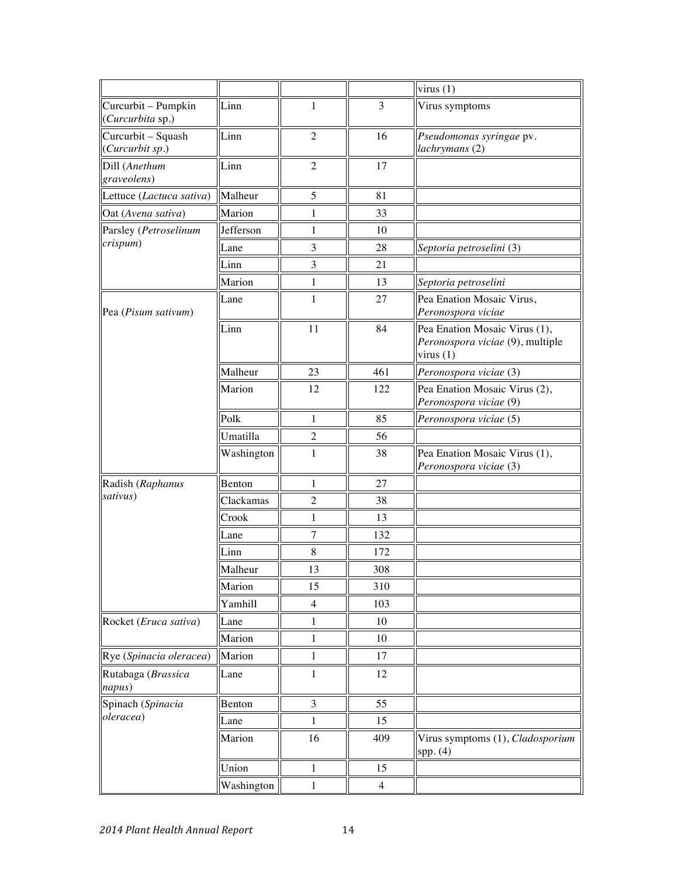|                                         |            |                |                | virus(1)                                                                         |
|-----------------------------------------|------------|----------------|----------------|----------------------------------------------------------------------------------|
| Curcurbit – Pumpkin<br>(Curcurbita sp.) | Linn       | 1              | 3              | Virus symptoms                                                                   |
| Curcurbit – Squash<br>(Curcurbit sp.)   | Linn       | $\overline{2}$ | 16             | Pseudomonas syringae pv.<br>lachrymans (2)                                       |
| Dill (Anethum<br>graveolens)            | Linn       | $\overline{2}$ | 17             |                                                                                  |
| Lettuce (Lactuca sativa)                | Malheur    | 5              | 81             |                                                                                  |
| Oat (Avena sativa)                      | Marion     | 1              | 33             |                                                                                  |
| Parsley (Petroselinum                   | Jefferson  | $\mathbf 1$    | 10             |                                                                                  |
| crispum)                                | Lane       | 3              | 28             | Septoria petroselini (3)                                                         |
|                                         | Linn       | 3              | 21             |                                                                                  |
|                                         | Marion     | $\mathbf{1}$   | 13             | Septoria petroselini                                                             |
| $\text{Pea}$ ( <i>Pisum sativum</i> )   | Lane       | 1              | 27             | Pea Enation Mosaic Virus,<br>Peronospora viciae                                  |
|                                         | Linn       | 11             | 84             | Pea Enation Mosaic Virus (1),<br>Peronospora viciae (9), multiple<br>virus $(1)$ |
|                                         | Malheur    | 23             | 461            | Peronospora viciae (3)                                                           |
|                                         | Marion     | 12             | 122            | Pea Enation Mosaic Virus (2),<br>Peronospora viciae (9)                          |
|                                         | Polk       | 1              | 85             | Peronospora viciae (5)                                                           |
|                                         | Umatilla   | $\overline{2}$ | 56             |                                                                                  |
|                                         | Washington | $\mathbf{1}$   | 38             | Pea Enation Mosaic Virus (1),<br>Peronospora viciae (3)                          |
| Radish (Raphanus                        | Benton     | $\mathbf{1}$   | 27             |                                                                                  |
| sativus)                                | Clackamas  | $\overline{2}$ | 38             |                                                                                  |
|                                         | Crook      | $\mathbf 1$    | 13             |                                                                                  |
|                                         | Lane       | $\overline{7}$ | 132            |                                                                                  |
|                                         | Linn       | 8              | 172            |                                                                                  |
|                                         | Malheur    | 13             | 308            |                                                                                  |
|                                         | Marion     | 15             | 310            |                                                                                  |
|                                         | Yamhill    | $\overline{4}$ | 103            |                                                                                  |
| Rocket (Eruca sativa)                   | Lane       | 1              | 10             |                                                                                  |
|                                         | Marion     | $\mathbf 1$    | 10             |                                                                                  |
| Rye (Spinacia oleracea)                 | Marion     | $\mathbf{1}$   | 17             |                                                                                  |
| Rutabaga (Brassica<br>napus)            | Lane       | $\mathbf 1$    | 12             |                                                                                  |
| Spinach (Spinacia                       | Benton     | 3              | 55             |                                                                                  |
| oleracea)                               | Lane       | 1              | 15             |                                                                                  |
|                                         | Marion     | 16             | 409            | Virus symptoms (1), Cladosporium<br>spp. (4)                                     |
|                                         | Union      | 1              | 15             |                                                                                  |
|                                         | Washington | $\mathbf{1}$   | $\overline{4}$ |                                                                                  |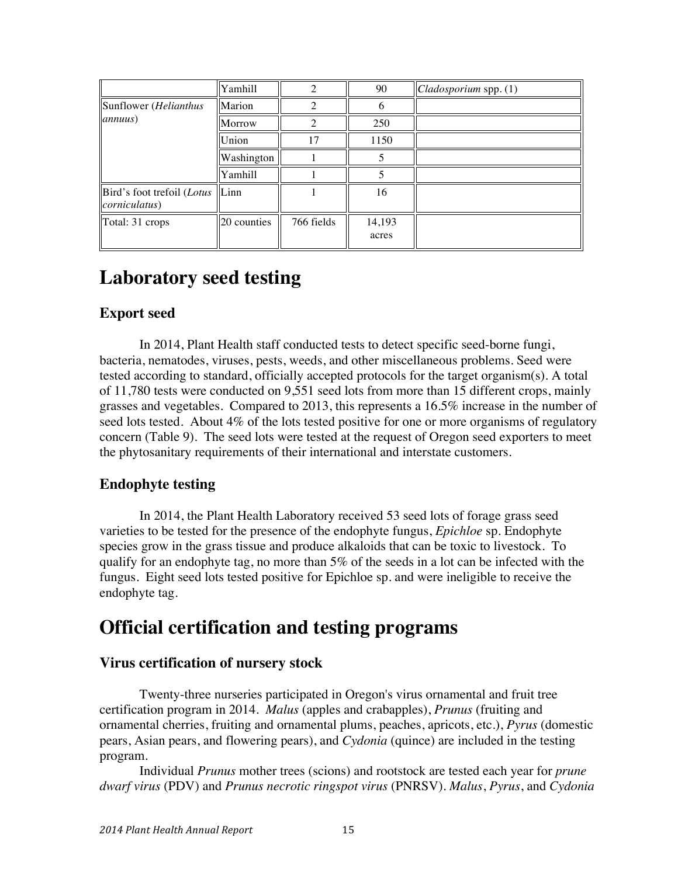|                                                     | Yamhill     |            | 90              | $\vert$ Cladosporium spp. (1) |
|-----------------------------------------------------|-------------|------------|-----------------|-------------------------------|
| Sunflower (Helianthus                               | Marion      |            | 6               |                               |
| annuus)                                             | Morrow      | ◠          | 250             |                               |
|                                                     | Union       | 17         | 1150            |                               |
|                                                     | Washington  |            |                 |                               |
|                                                     | Yamhill     |            |                 |                               |
| Bird's foot trefoil (Lotus<br><i>corniculatus</i> ) | Linn        |            | 16              |                               |
| Total: 31 crops                                     | 20 counties | 766 fields | 14,193<br>acres |                               |

## **Laboratory seed testing**

### **Export seed**

In 2014, Plant Health staff conducted tests to detect specific seed-borne fungi, bacteria, nematodes, viruses, pests, weeds, and other miscellaneous problems. Seed were tested according to standard, officially accepted protocols for the target organism(s). A total of 11,780 tests were conducted on 9,551 seed lots from more than 15 different crops, mainly grasses and vegetables. Compared to 2013, this represents a 16.5% increase in the number of seed lots tested. About 4% of the lots tested positive for one or more organisms of regulatory concern (Table 9). The seed lots were tested at the request of Oregon seed exporters to meet the phytosanitary requirements of their international and interstate customers.

## **Endophyte testing**

In 2014, the Plant Health Laboratory received 53 seed lots of forage grass seed varieties to be tested for the presence of the endophyte fungus, *Epichloe* sp. Endophyte species grow in the grass tissue and produce alkaloids that can be toxic to livestock. To qualify for an endophyte tag, no more than 5% of the seeds in a lot can be infected with the fungus. Eight seed lots tested positive for Epichloe sp. and were ineligible to receive the endophyte tag.

## **Official certification and testing programs**

## **Virus certification of nursery stock**

Twenty-three nurseries participated in Oregon's virus ornamental and fruit tree certification program in 2014. *Malus* (apples and crabapples), *Prunus* (fruiting and ornamental cherries, fruiting and ornamental plums, peaches, apricots, etc.), *Pyrus* (domestic pears, Asian pears, and flowering pears), and *Cydonia* (quince) are included in the testing program.

Individual *Prunus* mother trees (scions) and rootstock are tested each year for *prune dwarf virus* (PDV) and *Prunus necrotic ringspot virus* (PNRSV). *Malus*, *Pyrus*, and *Cydonia*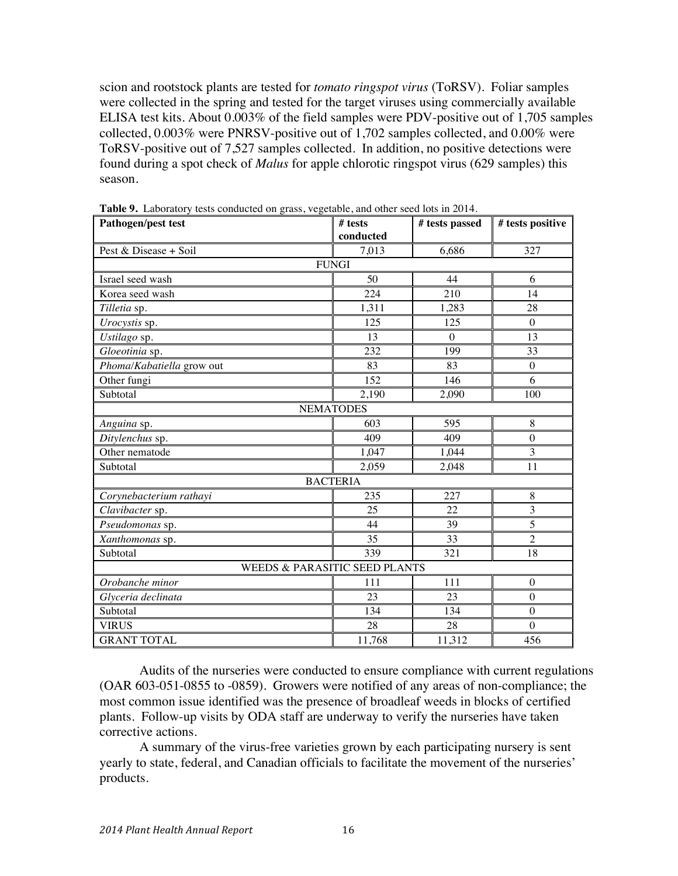scion and rootstock plants are tested for *tomato ringspot virus* (ToRSV). Foliar samples were collected in the spring and tested for the target viruses using commercially available ELISA test kits. About 0.003% of the field samples were PDV-positive out of 1,705 samples collected, 0.003% were PNRSV-positive out of 1,702 samples collected, and 0.00% were ToRSV-positive out of 7,527 samples collected. In addition, no positive detections were found during a spot check of *Malus* for apple chlorotic ringspot virus (629 samples) this season.

| Pathogen/pest test                       | # tests          | # tests passed | # tests positive |  |  |  |
|------------------------------------------|------------------|----------------|------------------|--|--|--|
|                                          | conducted        |                |                  |  |  |  |
| Pest & Disease + Soil                    | 7,013            | 6,686          | 327              |  |  |  |
|                                          | <b>FUNGI</b>     |                |                  |  |  |  |
| Israel seed wash                         | 50               | 44             | 6                |  |  |  |
| Korea seed wash                          | 224              | 210            | 14               |  |  |  |
| Tilletia sp.                             | 1,311            | 1,283          | 28               |  |  |  |
| Urocystis sp.                            | 125              | 125            | $\mathbf{0}$     |  |  |  |
| Ustilago sp.                             | 13               | $\theta$       | 13               |  |  |  |
| Gloeotinia sp.                           | 232              | 199            | 33               |  |  |  |
| Phoma/Kabatiella grow out                | 83               | 83             | $\boldsymbol{0}$ |  |  |  |
| Other fungi                              | 152              | 146            | 6                |  |  |  |
| Subtotal                                 | 2,190            | 2,090          | 100              |  |  |  |
|                                          | <b>NEMATODES</b> |                |                  |  |  |  |
| Anguina sp.                              | 603              | 595            | 8                |  |  |  |
| Ditylenchus sp.                          | 409              | 409            | $\overline{0}$   |  |  |  |
| Other nematode                           | 1,047            | 1,044          | 3                |  |  |  |
| Subtotal                                 | 2,059            | 2,048          | 11               |  |  |  |
|                                          | <b>BACTERIA</b>  |                |                  |  |  |  |
| Corynebacterium rathayi                  | 235              | 227            | $\,8\,$          |  |  |  |
| Clavibacter sp.                          | 25               | 22             | 3                |  |  |  |
| Pseudomonas sp.                          | 44               | 39             | 5                |  |  |  |
| Xanthomonas sp.                          | 35               | 33             | $\overline{2}$   |  |  |  |
| Subtotal                                 | 339              | 321            | 18               |  |  |  |
| <b>WEEDS &amp; PARASITIC SEED PLANTS</b> |                  |                |                  |  |  |  |
| Orobanche minor                          | 111              | 111            | $\boldsymbol{0}$ |  |  |  |
| Glyceria declinata                       | 23               | 23             | $\boldsymbol{0}$ |  |  |  |
| Subtotal                                 | 134              | 134            | $\overline{0}$   |  |  |  |
| <b>VIRUS</b>                             | 28               | 28             | $\boldsymbol{0}$ |  |  |  |
| <b>GRANT TOTAL</b>                       | 11,768           | 11,312         | 456              |  |  |  |

**Table 9.** Laboratory tests conducted on grass, vegetable, and other seed lots in 2014.

Audits of the nurseries were conducted to ensure compliance with current regulations (OAR 603-051-0855 to -0859). Growers were notified of any areas of non-compliance; the most common issue identified was the presence of broadleaf weeds in blocks of certified plants. Follow-up visits by ODA staff are underway to verify the nurseries have taken corrective actions.

A summary of the virus-free varieties grown by each participating nursery is sent yearly to state, federal, and Canadian officials to facilitate the movement of the nurseries' products.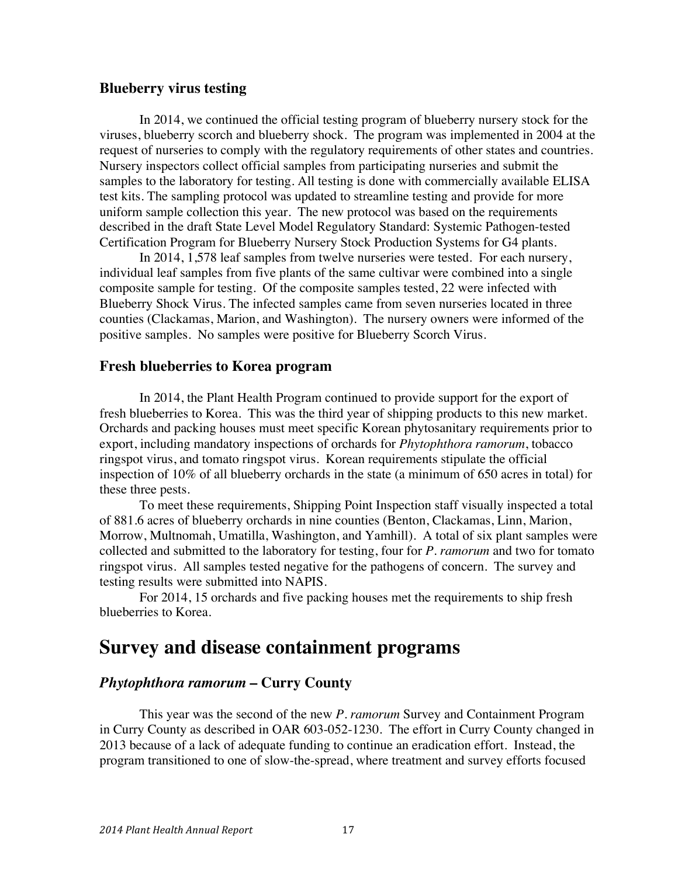### **Blueberry virus testing**

In 2014, we continued the official testing program of blueberry nursery stock for the viruses, blueberry scorch and blueberry shock. The program was implemented in 2004 at the request of nurseries to comply with the regulatory requirements of other states and countries. Nursery inspectors collect official samples from participating nurseries and submit the samples to the laboratory for testing. All testing is done with commercially available ELISA test kits. The sampling protocol was updated to streamline testing and provide for more uniform sample collection this year. The new protocol was based on the requirements described in the draft State Level Model Regulatory Standard: Systemic Pathogen-tested Certification Program for Blueberry Nursery Stock Production Systems for G4 plants.

In 2014, 1,578 leaf samples from twelve nurseries were tested. For each nursery, individual leaf samples from five plants of the same cultivar were combined into a single composite sample for testing. Of the composite samples tested, 22 were infected with Blueberry Shock Virus. The infected samples came from seven nurseries located in three counties (Clackamas, Marion, and Washington). The nursery owners were informed of the positive samples. No samples were positive for Blueberry Scorch Virus.

#### **Fresh blueberries to Korea program**

In 2014, the Plant Health Program continued to provide support for the export of fresh blueberries to Korea. This was the third year of shipping products to this new market. Orchards and packing houses must meet specific Korean phytosanitary requirements prior to export, including mandatory inspections of orchards for *Phytophthora ramorum*, tobacco ringspot virus, and tomato ringspot virus. Korean requirements stipulate the official inspection of 10% of all blueberry orchards in the state (a minimum of 650 acres in total) for these three pests.

To meet these requirements, Shipping Point Inspection staff visually inspected a total of 881.6 acres of blueberry orchards in nine counties (Benton, Clackamas, Linn, Marion, Morrow, Multnomah, Umatilla, Washington, and Yamhill). A total of six plant samples were collected and submitted to the laboratory for testing, four for *P. ramorum* and two for tomato ringspot virus. All samples tested negative for the pathogens of concern. The survey and testing results were submitted into NAPIS.

For 2014, 15 orchards and five packing houses met the requirements to ship fresh blueberries to Korea.

## **Survey and disease containment programs**

### *Phytophthora ramorum* **– Curry County**

This year was the second of the new *P. ramorum* Survey and Containment Program in Curry County as described in OAR 603-052-1230. The effort in Curry County changed in 2013 because of a lack of adequate funding to continue an eradication effort. Instead, the program transitioned to one of slow-the-spread, where treatment and survey efforts focused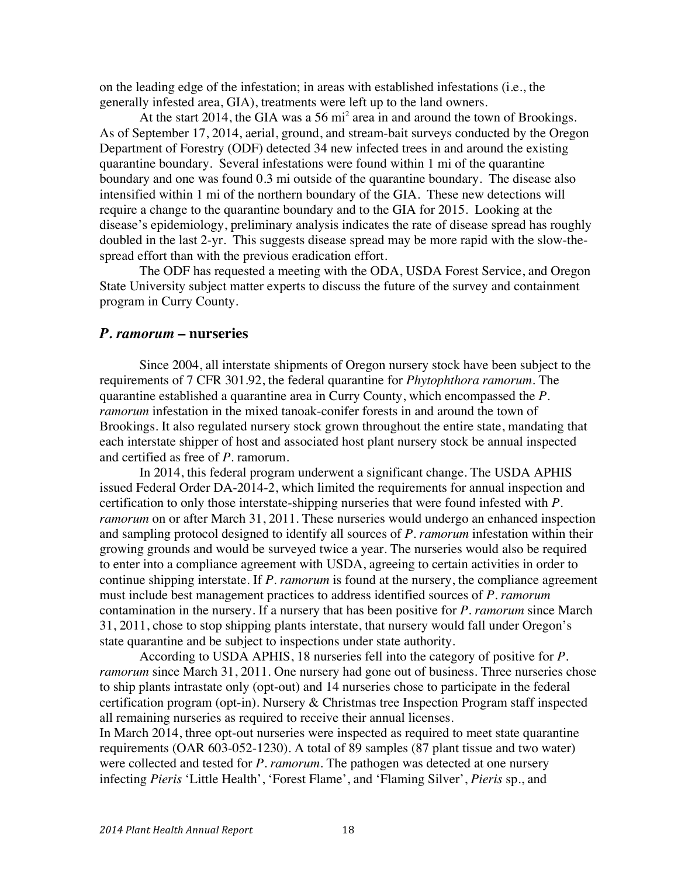on the leading edge of the infestation; in areas with established infestations (i.e., the generally infested area, GIA), treatments were left up to the land owners.

At the start 2014, the GIA was a 56 mi<sup>2</sup> area in and around the town of Brookings. As of September 17, 2014, aerial, ground, and stream-bait surveys conducted by the Oregon Department of Forestry (ODF) detected 34 new infected trees in and around the existing quarantine boundary. Several infestations were found within 1 mi of the quarantine boundary and one was found 0.3 mi outside of the quarantine boundary. The disease also intensified within 1 mi of the northern boundary of the GIA. These new detections will require a change to the quarantine boundary and to the GIA for 2015. Looking at the disease's epidemiology, preliminary analysis indicates the rate of disease spread has roughly doubled in the last 2-yr. This suggests disease spread may be more rapid with the slow-thespread effort than with the previous eradication effort.

The ODF has requested a meeting with the ODA, USDA Forest Service, and Oregon State University subject matter experts to discuss the future of the survey and containment program in Curry County.

#### *P. ramorum* **– nurseries**

Since 2004, all interstate shipments of Oregon nursery stock have been subject to the requirements of 7 CFR 301.92, the federal quarantine for *Phytophthora ramorum.* The quarantine established a quarantine area in Curry County, which encompassed the *P. ramorum* infestation in the mixed tanoak-conifer forests in and around the town of Brookings. It also regulated nursery stock grown throughout the entire state, mandating that each interstate shipper of host and associated host plant nursery stock be annual inspected and certified as free of *P.* ramorum.

In 2014, this federal program underwent a significant change. The USDA APHIS issued Federal Order DA-2014-2, which limited the requirements for annual inspection and certification to only those interstate-shipping nurseries that were found infested with *P. ramorum* on or after March 31, 2011. These nurseries would undergo an enhanced inspection and sampling protocol designed to identify all sources of *P. ramorum* infestation within their growing grounds and would be surveyed twice a year. The nurseries would also be required to enter into a compliance agreement with USDA, agreeing to certain activities in order to continue shipping interstate. If *P. ramorum* is found at the nursery, the compliance agreement must include best management practices to address identified sources of *P. ramorum*  contamination in the nursery. If a nursery that has been positive for *P. ramorum* since March 31, 2011, chose to stop shipping plants interstate, that nursery would fall under Oregon's state quarantine and be subject to inspections under state authority.

According to USDA APHIS, 18 nurseries fell into the category of positive for *P. ramorum* since March 31, 2011. One nursery had gone out of business. Three nurseries chose to ship plants intrastate only (opt-out) and 14 nurseries chose to participate in the federal certification program (opt-in). Nursery & Christmas tree Inspection Program staff inspected all remaining nurseries as required to receive their annual licenses.

In March 2014, three opt-out nurseries were inspected as required to meet state quarantine requirements (OAR 603-052-1230). A total of 89 samples (87 plant tissue and two water) were collected and tested for *P. ramorum*. The pathogen was detected at one nursery infecting *Pieris* 'Little Health', 'Forest Flame', and 'Flaming Silver', *Pieris* sp., and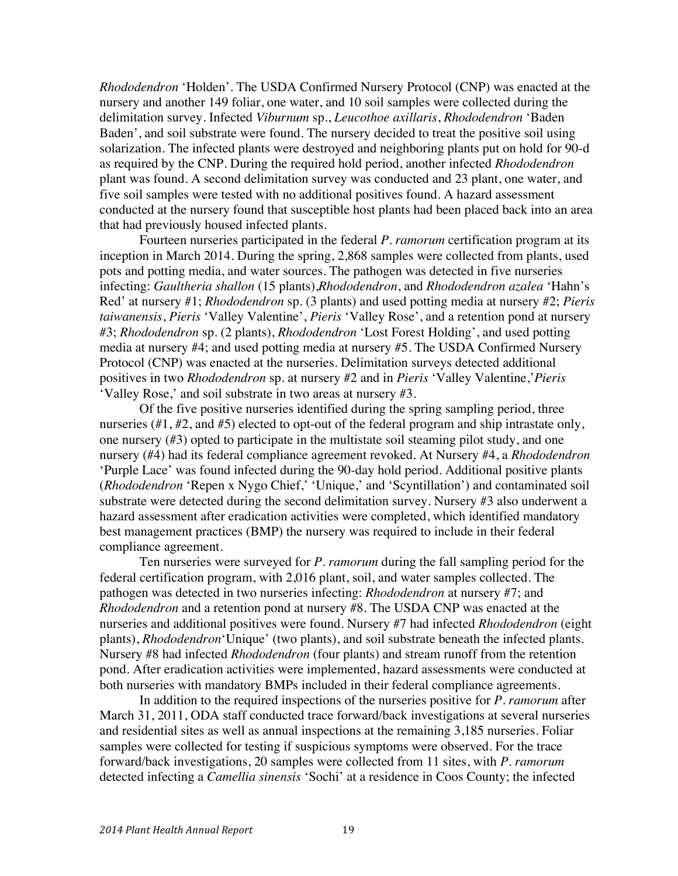*Rhododendron* 'Holden'. The USDA Confirmed Nursery Protocol (CNP) was enacted at the nursery and another 149 foliar, one water, and 10 soil samples were collected during the delimitation survey. Infected *Viburnum* sp., *Leucothoe axillaris*, *Rhododendron* 'Baden Baden', and soil substrate were found. The nursery decided to treat the positive soil using solarization. The infected plants were destroyed and neighboring plants put on hold for 90-d as required by the CNP. During the required hold period, another infected *Rhododendron* plant was found. A second delimitation survey was conducted and 23 plant, one water, and five soil samples were tested with no additional positives found. A hazard assessment conducted at the nursery found that susceptible host plants had been placed back into an area that had previously housed infected plants.

Fourteen nurseries participated in the federal *P. ramorum* certification program at its inception in March 2014. During the spring, 2,868 samples were collected from plants, used pots and potting media, and water sources. The pathogen was detected in five nurseries infecting: *Gaultheria shallon* (15 plants),*Rhododendron*, and *Rhododendron azalea* 'Hahn's Red' at nursery #1; *Rhododendron* sp. (3 plants) and used potting media at nursery #2; *Pieris taiwanensis*, *Pieris* 'Valley Valentine', *Pieris* 'Valley Rose', and a retention pond at nursery #3; *Rhododendron* sp. (2 plants), *Rhododendron* 'Lost Forest Holding', and used potting media at nursery #4; and used potting media at nursery #5. The USDA Confirmed Nursery Protocol (CNP) was enacted at the nurseries. Delimitation surveys detected additional positives in two *Rhododendron* sp. at nursery #2 and in *Pieris* 'Valley Valentine,'*Pieris* 'Valley Rose,' and soil substrate in two areas at nursery #3.

Of the five positive nurseries identified during the spring sampling period, three nurseries (#1, #2, and #5) elected to opt-out of the federal program and ship intrastate only, one nursery (#3) opted to participate in the multistate soil steaming pilot study, and one nursery (#4) had its federal compliance agreement revoked. At Nursery #4, a *Rhododendron*  'Purple Lace' was found infected during the 90-day hold period. Additional positive plants (*Rhododendron* 'Repen x Nygo Chief,' 'Unique,' and 'Scyntillation') and contaminated soil substrate were detected during the second delimitation survey. Nursery #3 also underwent a hazard assessment after eradication activities were completed, which identified mandatory best management practices (BMP) the nursery was required to include in their federal compliance agreement.

Ten nurseries were surveyed for *P. ramorum* during the fall sampling period for the federal certification program, with 2,016 plant, soil, and water samples collected. The pathogen was detected in two nurseries infecting: *Rhododendron* at nursery #7; and *Rhododendron* and a retention pond at nursery #8. The USDA CNP was enacted at the nurseries and additional positives were found. Nursery #7 had infected *Rhododendron* (eight plants), *Rhododendron*'Unique' (two plants), and soil substrate beneath the infected plants. Nursery #8 had infected *Rhododendron* (four plants) and stream runoff from the retention pond. After eradication activities were implemented, hazard assessments were conducted at both nurseries with mandatory BMPs included in their federal compliance agreements.

In addition to the required inspections of the nurseries positive for *P. ramorum* after March 31, 2011, ODA staff conducted trace forward/back investigations at several nurseries and residential sites as well as annual inspections at the remaining 3,185 nurseries. Foliar samples were collected for testing if suspicious symptoms were observed. For the trace forward/back investigations, 20 samples were collected from 11 sites, with *P. ramorum* detected infecting a *Camellia sinensis* 'Sochi' at a residence in Coos County; the infected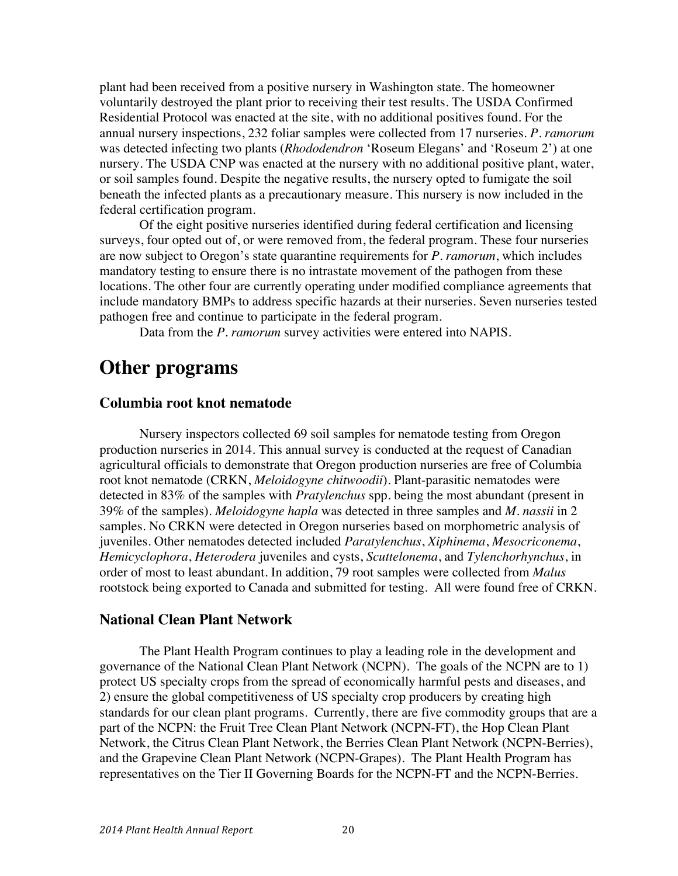plant had been received from a positive nursery in Washington state. The homeowner voluntarily destroyed the plant prior to receiving their test results. The USDA Confirmed Residential Protocol was enacted at the site, with no additional positives found. For the annual nursery inspections, 232 foliar samples were collected from 17 nurseries. *P. ramorum* was detected infecting two plants (*Rhododendron* 'Roseum Elegans' and 'Roseum 2') at one nursery. The USDA CNP was enacted at the nursery with no additional positive plant, water, or soil samples found. Despite the negative results, the nursery opted to fumigate the soil beneath the infected plants as a precautionary measure. This nursery is now included in the federal certification program.

Of the eight positive nurseries identified during federal certification and licensing surveys, four opted out of, or were removed from, the federal program. These four nurseries are now subject to Oregon's state quarantine requirements for *P. ramorum*, which includes mandatory testing to ensure there is no intrastate movement of the pathogen from these locations. The other four are currently operating under modified compliance agreements that include mandatory BMPs to address specific hazards at their nurseries. Seven nurseries tested pathogen free and continue to participate in the federal program.

Data from the *P. ramorum* survey activities were entered into NAPIS.

## **Other programs**

### **Columbia root knot nematode**

Nursery inspectors collected 69 soil samples for nematode testing from Oregon production nurseries in 2014. This annual survey is conducted at the request of Canadian agricultural officials to demonstrate that Oregon production nurseries are free of Columbia root knot nematode (CRKN, *Meloidogyne chitwoodii*). Plant-parasitic nematodes were detected in 83% of the samples with *Pratylenchus* spp. being the most abundant (present in 39% of the samples). *Meloidogyne hapla* was detected in three samples and *M. nassii* in 2 samples. No CRKN were detected in Oregon nurseries based on morphometric analysis of juveniles. Other nematodes detected included *Paratylenchus*, *Xiphinema*, *Mesocriconema*, *Hemicyclophora*, *Heterodera* juveniles and cysts, *Scuttelonema*, and *Tylenchorhynchus*, in order of most to least abundant. In addition, 79 root samples were collected from *Malus* rootstock being exported to Canada and submitted for testing. All were found free of CRKN.

### **National Clean Plant Network**

The Plant Health Program continues to play a leading role in the development and governance of the National Clean Plant Network (NCPN). The goals of the NCPN are to 1) protect US specialty crops from the spread of economically harmful pests and diseases, and 2) ensure the global competitiveness of US specialty crop producers by creating high standards for our clean plant programs. Currently, there are five commodity groups that are a part of the NCPN: the Fruit Tree Clean Plant Network (NCPN-FT), the Hop Clean Plant Network, the Citrus Clean Plant Network, the Berries Clean Plant Network (NCPN-Berries), and the Grapevine Clean Plant Network (NCPN-Grapes). The Plant Health Program has representatives on the Tier II Governing Boards for the NCPN-FT and the NCPN-Berries.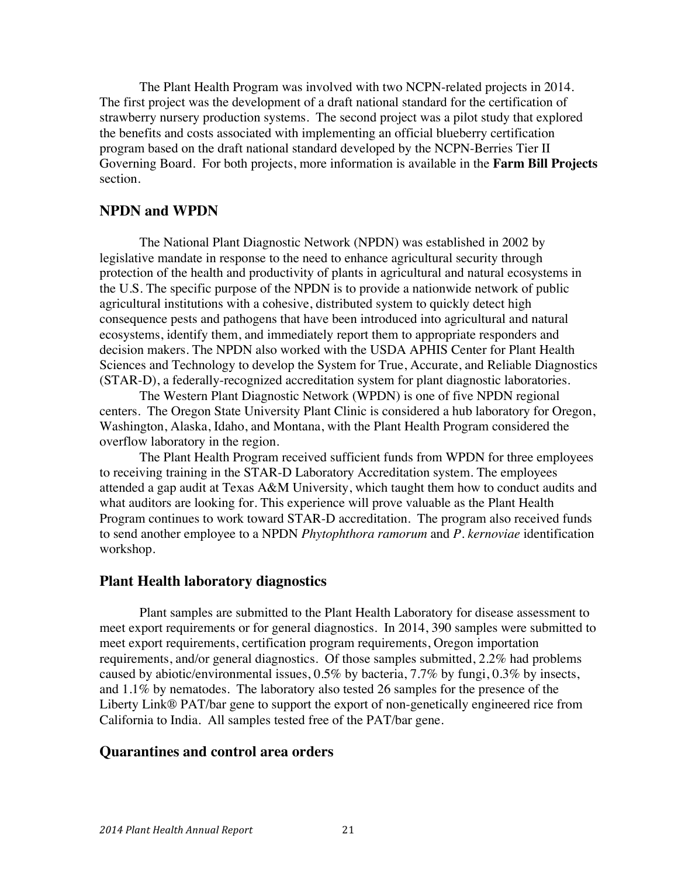The Plant Health Program was involved with two NCPN-related projects in 2014. The first project was the development of a draft national standard for the certification of strawberry nursery production systems. The second project was a pilot study that explored the benefits and costs associated with implementing an official blueberry certification program based on the draft national standard developed by the NCPN-Berries Tier II Governing Board. For both projects, more information is available in the **Farm Bill Projects** section.

### **NPDN and WPDN**

The National Plant Diagnostic Network (NPDN) was established in 2002 by legislative mandate in response to the need to enhance agricultural security through protection of the health and productivity of plants in agricultural and natural ecosystems in the U.S. The specific purpose of the NPDN is to provide a nationwide network of public agricultural institutions with a cohesive, distributed system to quickly detect high consequence pests and pathogens that have been introduced into agricultural and natural ecosystems, identify them, and immediately report them to appropriate responders and decision makers. The NPDN also worked with the USDA APHIS Center for Plant Health Sciences and Technology to develop the System for True, Accurate, and Reliable Diagnostics (STAR-D), a federally-recognized accreditation system for plant diagnostic laboratories.

The Western Plant Diagnostic Network (WPDN) is one of five NPDN regional centers. The Oregon State University Plant Clinic is considered a hub laboratory for Oregon, Washington, Alaska, Idaho, and Montana, with the Plant Health Program considered the overflow laboratory in the region.

The Plant Health Program received sufficient funds from WPDN for three employees to receiving training in the STAR-D Laboratory Accreditation system. The employees attended a gap audit at Texas A&M University, which taught them how to conduct audits and what auditors are looking for. This experience will prove valuable as the Plant Health Program continues to work toward STAR-D accreditation. The program also received funds to send another employee to a NPDN *Phytophthora ramorum* and *P. kernoviae* identification workshop.

### **Plant Health laboratory diagnostics**

Plant samples are submitted to the Plant Health Laboratory for disease assessment to meet export requirements or for general diagnostics. In 2014, 390 samples were submitted to meet export requirements, certification program requirements, Oregon importation requirements, and/or general diagnostics. Of those samples submitted, 2.2% had problems caused by abiotic/environmental issues, 0.5% by bacteria, 7.7% by fungi, 0.3% by insects, and 1.1% by nematodes. The laboratory also tested 26 samples for the presence of the Liberty Link® PAT/bar gene to support the export of non-genetically engineered rice from California to India. All samples tested free of the PAT/bar gene.

### **Quarantines and control area orders**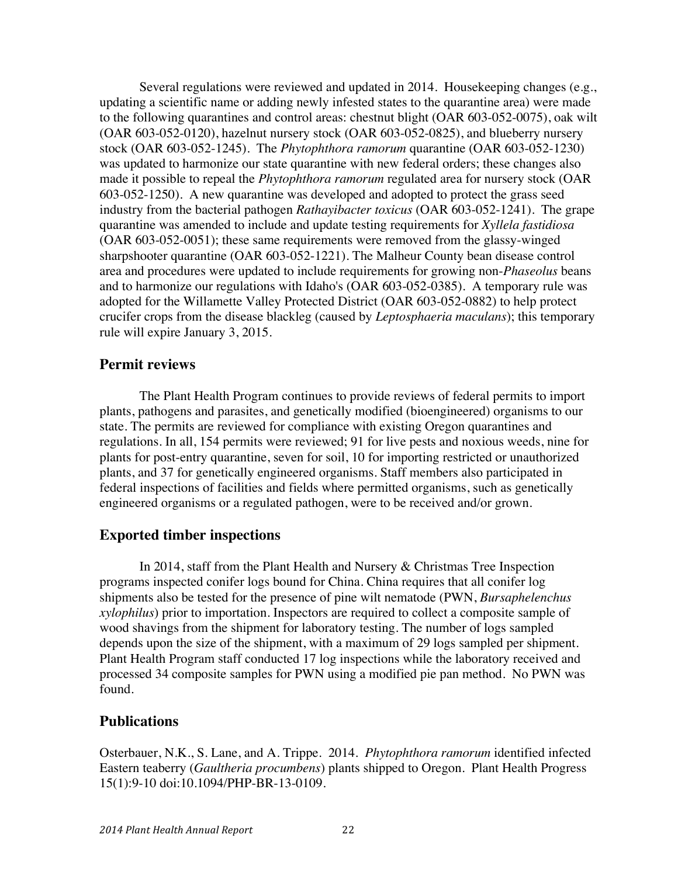Several regulations were reviewed and updated in 2014. Housekeeping changes (e.g., updating a scientific name or adding newly infested states to the quarantine area) were made to the following quarantines and control areas: chestnut blight (OAR 603-052-0075), oak wilt (OAR 603-052-0120), hazelnut nursery stock (OAR 603-052-0825), and blueberry nursery stock (OAR 603-052-1245). The *Phytophthora ramorum* quarantine (OAR 603-052-1230) was updated to harmonize our state quarantine with new federal orders; these changes also made it possible to repeal the *Phytophthora ramorum* regulated area for nursery stock (OAR 603-052-1250). A new quarantine was developed and adopted to protect the grass seed industry from the bacterial pathogen *Rathayibacter toxicus* (OAR 603-052-1241). The grape quarantine was amended to include and update testing requirements for *Xyllela fastidiosa*  (OAR 603-052-0051); these same requirements were removed from the glassy-winged sharpshooter quarantine (OAR 603-052-1221). The Malheur County bean disease control area and procedures were updated to include requirements for growing non-*Phaseolus* beans and to harmonize our regulations with Idaho's (OAR 603-052-0385). A temporary rule was adopted for the Willamette Valley Protected District (OAR 603-052-0882) to help protect crucifer crops from the disease blackleg (caused by *Leptosphaeria maculans*); this temporary rule will expire January 3, 2015.

### **Permit reviews**

The Plant Health Program continues to provide reviews of federal permits to import plants, pathogens and parasites, and genetically modified (bioengineered) organisms to our state. The permits are reviewed for compliance with existing Oregon quarantines and regulations. In all, 154 permits were reviewed; 91 for live pests and noxious weeds, nine for plants for post-entry quarantine, seven for soil, 10 for importing restricted or unauthorized plants, and 37 for genetically engineered organisms. Staff members also participated in federal inspections of facilities and fields where permitted organisms, such as genetically engineered organisms or a regulated pathogen, were to be received and/or grown.

### **Exported timber inspections**

In 2014, staff from the Plant Health and Nursery & Christmas Tree Inspection programs inspected conifer logs bound for China. China requires that all conifer log shipments also be tested for the presence of pine wilt nematode (PWN, *Bursaphelenchus xylophilus*) prior to importation. Inspectors are required to collect a composite sample of wood shavings from the shipment for laboratory testing. The number of logs sampled depends upon the size of the shipment, with a maximum of 29 logs sampled per shipment. Plant Health Program staff conducted 17 log inspections while the laboratory received and processed 34 composite samples for PWN using a modified pie pan method. No PWN was found.

### **Publications**

Osterbauer, N.K., S. Lane, and A. Trippe. 2014. *Phytophthora ramorum* identified infected Eastern teaberry (*Gaultheria procumbens*) plants shipped to Oregon. Plant Health Progress 15(1):9-10 doi:10.1094/PHP-BR-13-0109.